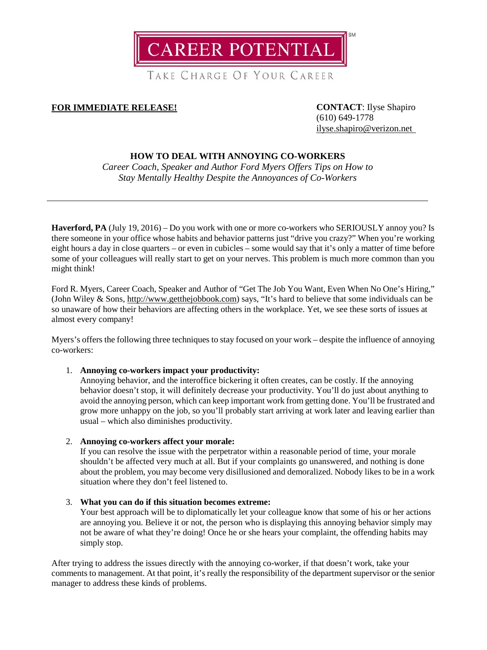**CAREER POTENTIAL** 

TAKE CHARGE OF YOUR CAREER

# **FOR IMMEDIATE RELEASE! CONTACT**: Ilyse Shapiro

(610) 649-1778 [ilyse.shapiro@verizon.net](mailto:ilyse.shapiro@verizon.net)

# **HOW TO DEAL WITH ANNOYING CO-WORKERS**

*Career Coach, Speaker and Author Ford Myers Offers Tips on How to Stay Mentally Healthy Despite the Annoyances of Co-Workers*

Haverford, PA (July 19, 2016) – Do you work with one or more co-workers who SERIOUSLY annoy you? Is there someone in your office whose habits and behavior patterns just "drive you crazy?" When you're working eight hours a day in close quarters – or even in cubicles – some would say that it's only a matter of time before some of your colleagues will really start to get on your nerves. This problem is much more common than you might think!

Ford R. Myers, Career Coach, Speaker and Author of "Get The Job You Want, Even When No One's Hiring," (John Wiley & Sons, [http://www.getthejobbook.com\)](http://www.getthejobbook.com/) says, "It's hard to believe that some individuals can be so unaware of how their behaviors are affecting others in the workplace. Yet, we see these sorts of issues at almost every company!

Myers's offers the following three techniques to stay focused on your work – despite the influence of annoying co-workers:

## 1. **Annoying co-workers impact your productivity:**

Annoying behavior, and the interoffice bickering it often creates, can be costly. If the annoying behavior doesn't stop, it will definitely decrease your productivity. You'll do just about anything to avoid the annoying person, which can keep important work from getting done. You'll be frustrated and grow more unhappy on the job, so you'll probably start arriving at work later and leaving earlier than usual – which also diminishes productivity.

2. **Annoying co-workers affect your morale:**

If you can resolve the issue with the perpetrator within a reasonable period of time, your morale shouldn't be affected very much at all. But if your complaints go unanswered, and nothing is done about the problem, you may become very disillusioned and demoralized. Nobody likes to be in a work situation where they don't feel listened to.

3. **What you can do if this situation becomes extreme:**

Your best approach will be to diplomatically let your colleague know that some of his or her actions are annoying you. Believe it or not, the person who is displaying this annoying behavior simply may not be aware of what they're doing! Once he or she hears your complaint, the offending habits may simply stop.

After trying to address the issues directly with the annoying co-worker, if that doesn't work, take your comments to management. At that point, it's really the responsibility of the department supervisor or the senior manager to address these kinds of problems.